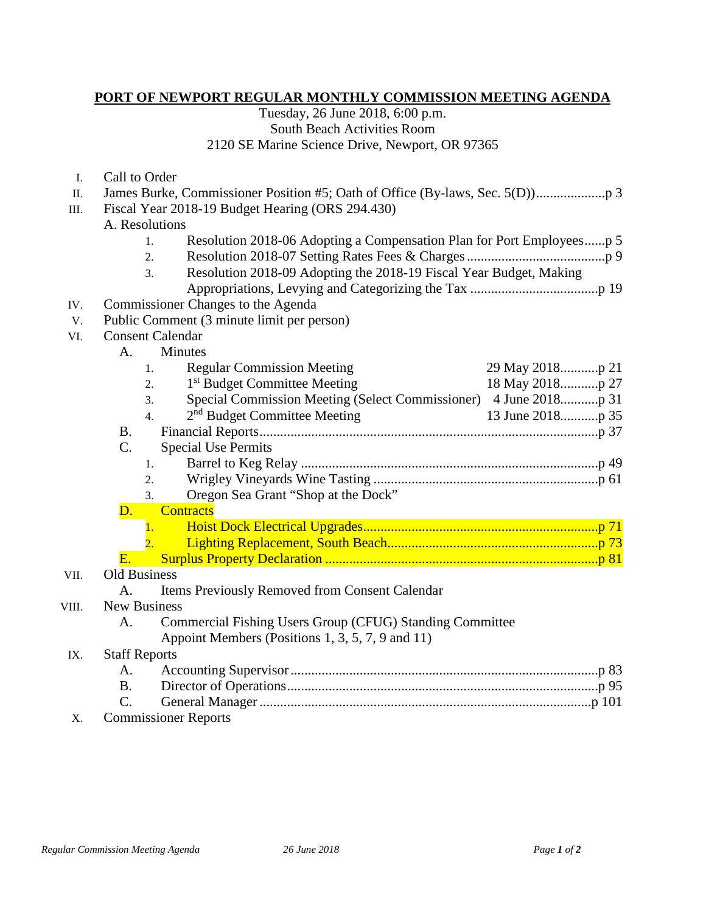## **PORT OF NEWPORT REGULAR MONTHLY COMMISSION MEETING AGENDA**

Tuesday, 26 June 2018, 6:00 p.m. South Beach Activities Room 2120 SE Marine Science Drive, Newport, OR 97365

I. Call to Order

- III. Fiscal Year 2018-19 Budget Hearing (ORS 294.430)
	- A. Resolutions
		- 1. Resolution 2018-06 Adopting a Compensation Plan for Port Employees......p 5
		- 2. Resolution 2018-07 Setting Rates Fees & Charges........................................p 9
		- 3. Resolution 2018-09 Adopting the 2018-19 Fiscal Year Budget, Making
			- Appropriations, Levying and Categorizing the Tax .....................................p 19
- IV. Commissioner Changes to the Agenda
- V. Public Comment (3 minute limit per person)
- VI. Consent Calendar

|                      | 1.               | <b>Regular Commission Meeting</b>                        |  |  |  |  |  |  |
|----------------------|------------------|----------------------------------------------------------|--|--|--|--|--|--|
|                      | 2.               | 1 <sup>st</sup> Budget Committee Meeting                 |  |  |  |  |  |  |
|                      | 3.               |                                                          |  |  |  |  |  |  |
|                      | $\overline{4}$ . | 2 <sup>nd</sup> Budget Committee Meeting                 |  |  |  |  |  |  |
| <b>B.</b>            |                  |                                                          |  |  |  |  |  |  |
| C.                   |                  | <b>Special Use Permits</b>                               |  |  |  |  |  |  |
|                      | $1_{\cdot}$      |                                                          |  |  |  |  |  |  |
|                      | 2.               |                                                          |  |  |  |  |  |  |
|                      | 3.               | Oregon Sea Grant "Shop at the Dock"                      |  |  |  |  |  |  |
| <b>D.</b>            |                  | <b>Contracts</b>                                         |  |  |  |  |  |  |
|                      | 1.               |                                                          |  |  |  |  |  |  |
|                      |                  |                                                          |  |  |  |  |  |  |
| E. .                 |                  |                                                          |  |  |  |  |  |  |
| <b>Old Business</b>  |                  |                                                          |  |  |  |  |  |  |
| A.                   |                  | Items Previously Removed from Consent Calendar           |  |  |  |  |  |  |
| <b>New Business</b>  |                  |                                                          |  |  |  |  |  |  |
| A.                   |                  | Commercial Fishing Users Group (CFUG) Standing Committee |  |  |  |  |  |  |
|                      |                  | Appoint Members (Positions 1, 3, 5, 7, 9 and 11)         |  |  |  |  |  |  |
| <b>Staff Reports</b> |                  |                                                          |  |  |  |  |  |  |
| A.                   |                  |                                                          |  |  |  |  |  |  |
| <b>B.</b>            |                  |                                                          |  |  |  |  |  |  |
| $\mathcal{C}$ .      |                  |                                                          |  |  |  |  |  |  |

X. Commissioner Reports

VII.

VIII.

 $IX.$